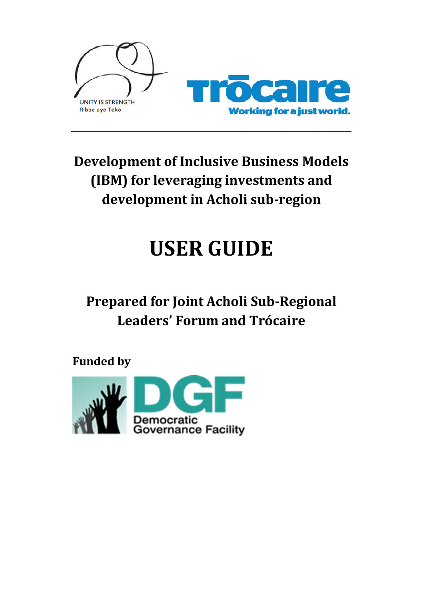

# **Development of Inclusive Business Models (IBM) for leveraging investments and development in Acholi sub-region**

# **USER GUIDE**

# **Prepared for Joint Acholi Sub-Regional Leaders' Forum and Trócaire**

**Funded by** 

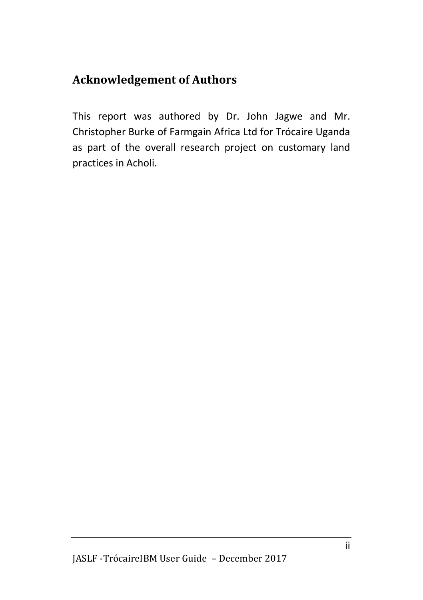#### <span id="page-1-0"></span>**Acknowledgement of Authors**

This report was authored by Dr. John Jagwe and Mr. Christopher Burke of Farmgain Africa Ltd for Trócaire Uganda as part of the overall research project on customary land practices in Acholi.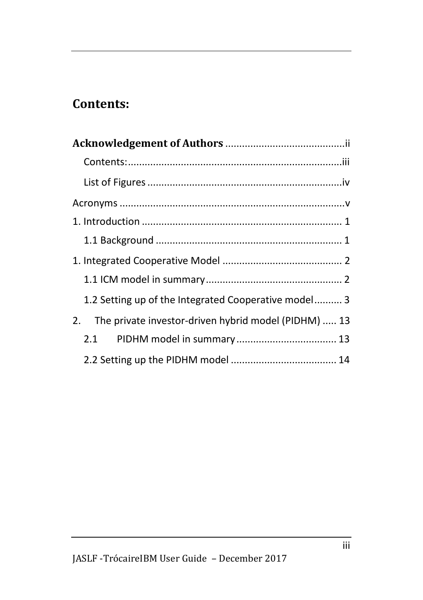### <span id="page-2-0"></span>**Contents:**

|    | 1.2 Setting up of the Integrated Cooperative model 3 |  |
|----|------------------------------------------------------|--|
| 2. | The private investor-driven hybrid model (PIDHM)  13 |  |
|    | 2.1                                                  |  |
|    |                                                      |  |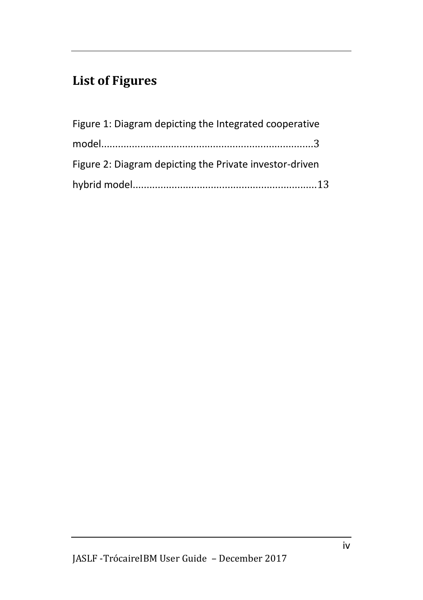# <span id="page-3-0"></span>**List of Figures**

| Figure 1: Diagram depicting the Integrated cooperative  |
|---------------------------------------------------------|
|                                                         |
| Figure 2: Diagram depicting the Private investor-driven |
|                                                         |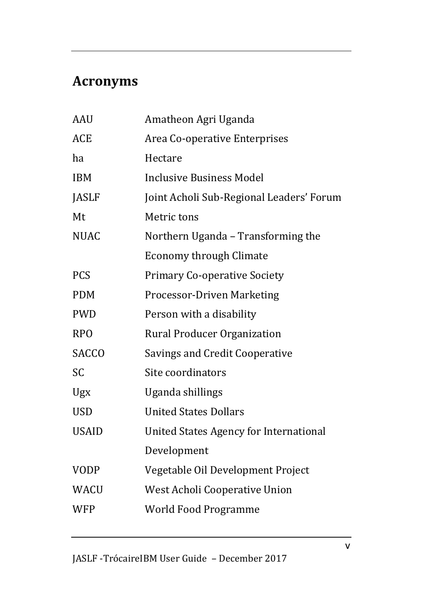# <span id="page-4-0"></span>**Acronyms**

| AAU          | Amatheon Agri Uganda                     |
|--------------|------------------------------------------|
| <b>ACE</b>   | Area Co-operative Enterprises            |
| ha           | Hectare                                  |
| <b>IBM</b>   | Inclusive Business Model                 |
| <b>JASLF</b> | Joint Acholi Sub-Regional Leaders' Forum |
| Mt           | Metric tons                              |
| <b>NUAC</b>  | Northern Uganda – Transforming the       |
|              | <b>Economy through Climate</b>           |
| PCS          | <b>Primary Co-operative Society</b>      |
| <b>PDM</b>   | <b>Processor-Driven Marketing</b>        |
| <b>PWD</b>   | Person with a disability                 |
| <b>RPO</b>   | Rural Producer Organization              |
| <b>SACCO</b> | Savings and Credit Cooperative           |
| <b>SC</b>    | Site coordinators                        |
| Ugx          | Uganda shillings                         |
| <b>USD</b>   | <b>United States Dollars</b>             |
| <b>USAID</b> | United States Agency for International   |
|              | Development                              |
| <b>VODP</b>  | Vegetable Oil Development Project        |
| <b>WACU</b>  | West Acholi Cooperative Union            |
| <b>WFP</b>   | World Food Programme                     |
|              |                                          |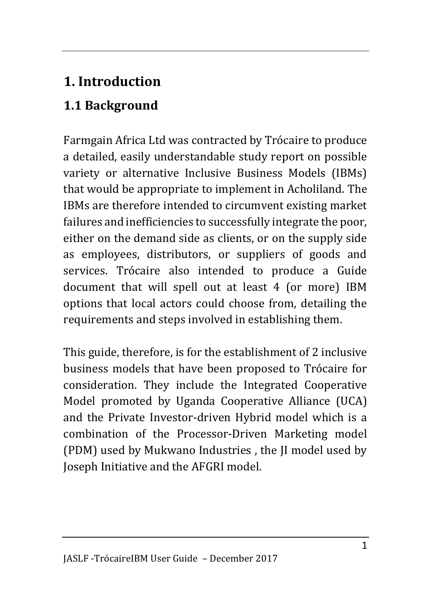# <span id="page-5-0"></span>**1. Introduction**

### <span id="page-5-1"></span>**1.1 Background**

Farmgain Africa Ltd was contracted by Trócaire to produce a detailed, easily understandable study report on possible variety or alternative Inclusive Business Models (IBMs) that would be appropriate to implement in Acholiland. The IBMs are therefore intended to circumvent existing market failures and inefficiencies to successfully integrate the poor, either on the demand side as clients, or on the supply side as employees, distributors, or suppliers of goods and services. Trócaire also intended to produce a Guide document that will spell out at least 4 (or more) IBM options that local actors could choose from, detailing the requirements and steps involved in establishing them.

This guide, therefore, is for the establishment of 2 inclusive business models that have been proposed to Trócaire for consideration. They include the Integrated Cooperative Model promoted by Uganda Cooperative Alliance (UCA) and the Private Investor-driven Hybrid model which is a combination of the Processor-Driven Marketing model (PDM) used by Mukwano Industries , the JI model used by Joseph Initiative and the AFGRI model.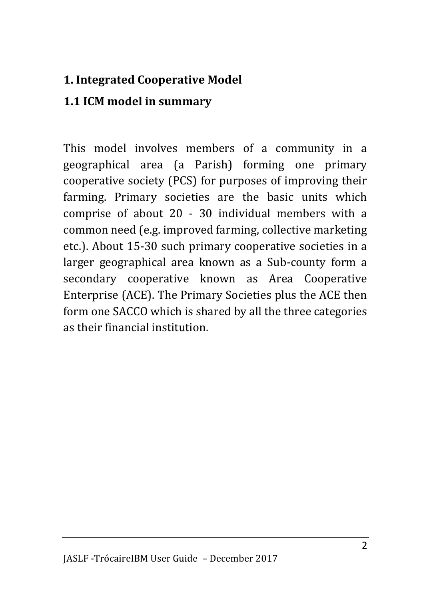### <span id="page-6-0"></span>**1. Integrated Cooperative Model**

### <span id="page-6-1"></span>**1.1 ICM model in summary**

This model involves members of a community in a geographical area (a Parish) forming one primary cooperative society (PCS) for purposes of improving their farming. Primary societies are the basic units which comprise of about 20 - 30 individual members with a common need (e.g. improved farming, collective marketing etc.). About 15-30 such primary cooperative societies in a larger geographical area known as a Sub-county form a secondary cooperative known as Area Cooperative Enterprise (ACE). The Primary Societies plus the ACE then form one SACCO which is shared by all the three categories as their financial institution.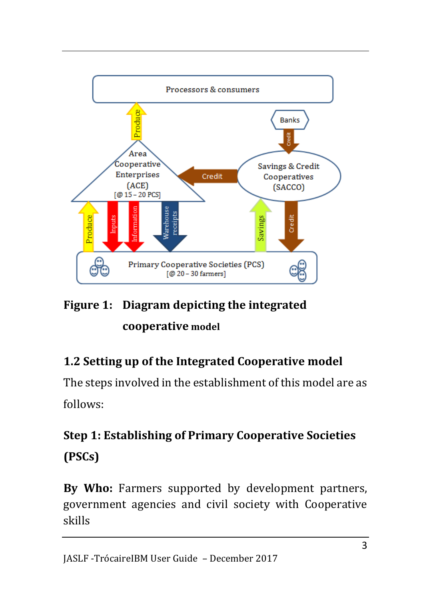

<span id="page-7-1"></span>**Figure 1: Diagram depicting the integrated cooperative model**

### <span id="page-7-0"></span>**1.2 Setting up of the Integrated Cooperative model**

The steps involved in the establishment of this model are as follows:

# **Step 1: Establishing of Primary Cooperative Societies (PSCs)**

**By Who:** Farmers supported by development partners, government agencies and civil society with Cooperative skills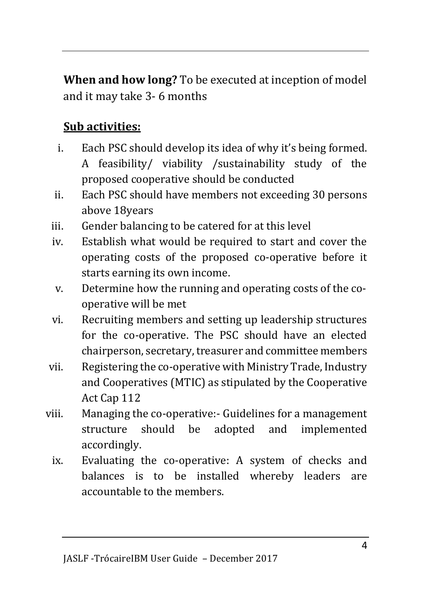**When and how long?** To be executed at inception of model and it may take 3- 6 months

### **Sub activities:**

- i. Each PSC should develop its idea of why it's being formed. A feasibility/ viability /sustainability study of the proposed cooperative should be conducted
- ii. Each PSC should have members not exceeding 30 persons above 18years
- iii. Gender balancing to be catered for at this level
- iv. Establish what would be required to start and cover the operating costs of the proposed co‐operative before it starts earning its own income.
- v. Determine how the running and operating costs of the co‐ operative will be met
- vi. Recruiting members and setting up leadership structures for the co-operative. The PSC should have an elected chairperson, secretary, treasurer and committee members
- vii. Registering the co‐operative with Ministry Trade, Industry and Cooperatives (MTIC) as stipulated by the Cooperative Act Cap 112
- viii. Managing the co‐operative:- Guidelines for a management structure should be adopted and implemented accordingly.
	- ix. Evaluating the co-operative: A system of checks and balances is to be installed whereby leaders are accountable to the members.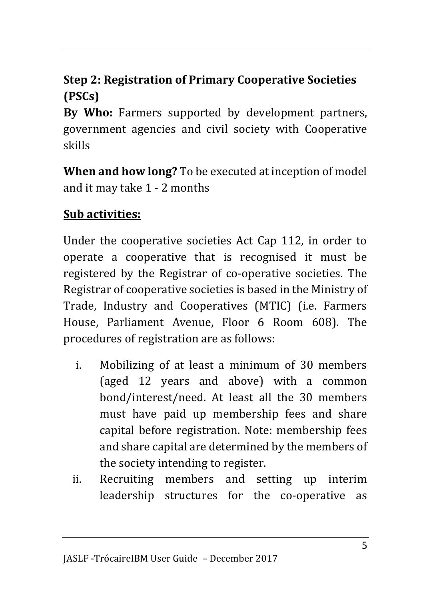### **Step 2: Registration of Primary Cooperative Societies (PSCs)**

**By Who:** Farmers supported by development partners, government agencies and civil society with Cooperative skills

**When and how long?** To be executed at inception of model and it may take 1 - 2 months

### **Sub activities:**

Under the cooperative societies Act Cap 112, in order to operate a cooperative that is recognised it must be registered by the Registrar of co‐operative societies. The Registrar of cooperative societies is based in the Ministry of Trade, Industry and Cooperatives (MTIC) (i.e. Farmers House, Parliament Avenue, Floor 6 Room 608). The procedures of registration are as follows:

- i. Mobilizing of at least a minimum of 30 members (aged 12 years and above) with a common bond/interest/need. At least all the 30 members must have paid up membership fees and share capital before registration. Note: membership fees and share capital are determined by the members of the society intending to register.
- ii. Recruiting members and setting up interim leadership structures for the co-operative as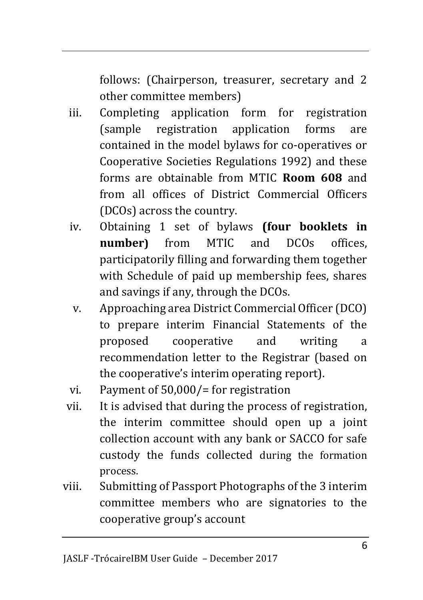follows: (Chairperson, treasurer, secretary and 2 other committee members)

- iii. Completing application form for registration (sample registration application forms are contained in the model bylaws for co‐operatives or Cooperative Societies Regulations 1992) and these forms are obtainable from MTIC **Room 608** and from all offices of District Commercial Officers (DCOs) across the country.
- iv. Obtaining 1 set of bylaws **(four booklets in number)** from MTIC and DCOs offices, participatorily filling and forwarding them together with Schedule of paid up membership fees, shares and savings if any, through the DCOs.
- v. Approaching area District Commercial Officer (DCO) to prepare interim Financial Statements of the proposed cooperative and writing a recommendation letter to the Registrar (based on the cooperative's interim operating report).
- vi. Payment of 50,000/= for registration
- vii. It is advised that during the process of registration, the interim committee should open up a joint collection account with any bank or SACCO for safe custody the funds collected during the formation process.
- viii. Submitting of Passport Photographs of the 3 interim committee members who are signatories to the cooperative group's account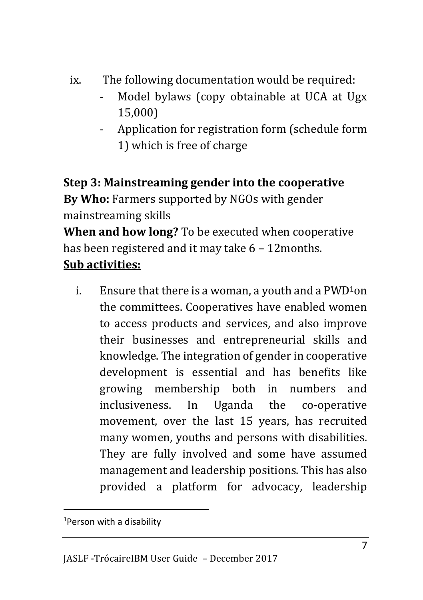- ix. The following documentation would be required:
	- Model bylaws (copy obtainable at UCA at Ugx 15,000)
	- Application for registration form (schedule form 1) which is free of charge

**Step 3: Mainstreaming gender into the cooperative By Who:** Farmers supported by NGOs with gender mainstreaming skills

**When and how long?** To be executed when cooperative has been registered and it may take  $6 - 12$  months.

### **Sub activities:**

i. Ensure that there is a woman, a youth and a  $PWD<sup>1</sup>$ on the committees. Cooperatives have enabled women to access products and services, and also improve their businesses and entrepreneurial skills and knowledge. The integration of gender in cooperative development is essential and has benefits like growing membership both in numbers and inclusiveness. In Uganda the co‐operative movement, over the last 15 years, has recruited many women, youths and persons with disabilities. They are fully involved and some have assumed management and leadership positions. This has also provided a platform for advocacy, leadership

1Person with a disability

1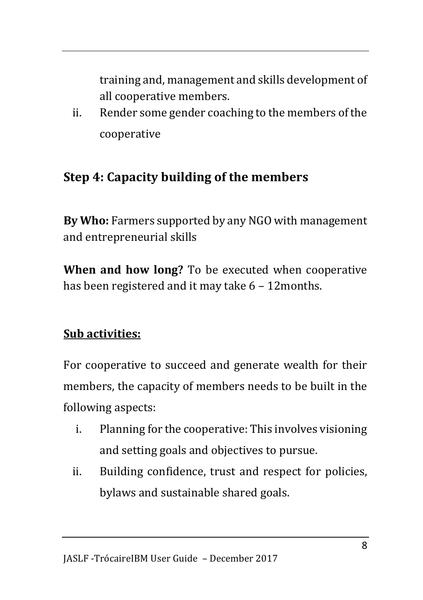training and, management and skills development of all cooperative members.

ii. Render some gender coaching to the members of the cooperative

### **Step 4: Capacity building of the members**

**By Who:** Farmers supported by any NGO with management and entrepreneurial skills

**When and how long?** To be executed when cooperative has been registered and it may take 6 – 12months.

### **Sub activities:**

For cooperative to succeed and generate wealth for their members, the capacity of members needs to be built in the following aspects:

- i. Planning for the cooperative: This involves visioning and setting goals and objectives to pursue.
- ii. Building confidence, trust and respect for policies, bylaws and sustainable shared goals.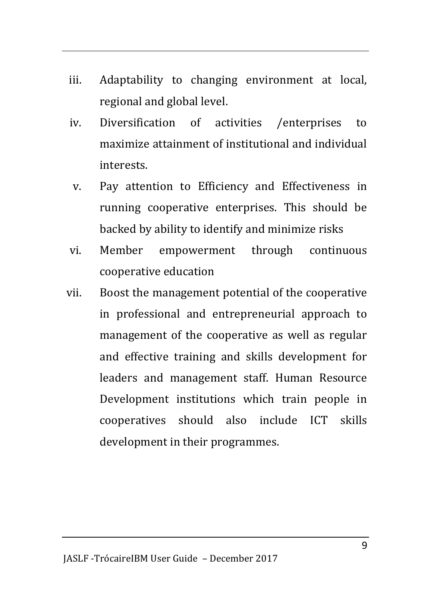- iii. Adaptability to changing environment at local, regional and global level.
- iv. Diversification of activities /enterprises to maximize attainment of institutional and individual interests.
- v. Pay attention to Efficiency and Effectiveness in running cooperative enterprises. This should be backed by ability to identify and minimize risks
- vi. Member empowerment through continuous cooperative education
- vii. Boost the management potential of the cooperative in professional and entrepreneurial approach to management of the cooperative as well as regular and effective training and skills development for leaders and management staff. Human Resource Development institutions which train people in cooperatives should also include ICT skills development in their programmes.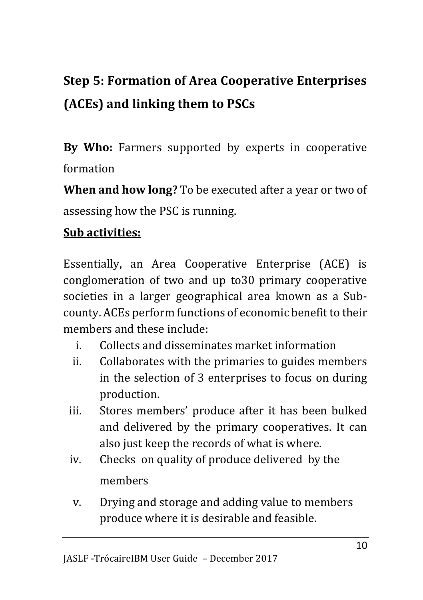# **Step 5: Formation of Area Cooperative Enterprises (ACEs) and linking them to PSCs**

**By Who:** Farmers supported by experts in cooperative formation

**When and how long?** To be executed after a year or two of assessing how the PSC is running.

### **Sub activities:**

Essentially, an Area Cooperative Enterprise (ACE) is conglomeration of two and up to30 primary cooperative societies in a larger geographical area known as a Subcounty. ACEs perform functions of economic benefit to their members and these include:

- i. Collects and disseminates market information
- ii. Collaborates with the primaries to guides members in the selection of 3 enterprises to focus on during production.
- iii. Stores members' produce after it has been bulked and delivered by the primary cooperatives. It can also just keep the records of what is where.
- iv. Checks on quality of produce delivered by the members
- v. Drying and storage and adding value to members produce where it is desirable and feasible.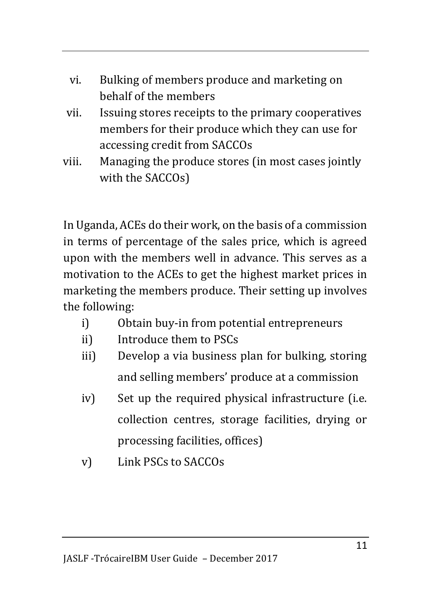| vi. | Bulking of members produce and marketing on |
|-----|---------------------------------------------|
|     | behalf of the members                       |

- vii. Issuing stores receipts to the primary cooperatives members for their produce which they can use for accessing credit from SACCOs
- viii. Managing the produce stores (in most cases jointly with the SACCOs)

In Uganda, ACEs do their work, on the basis of a commission in terms of percentage of the sales price, which is agreed upon with the members well in advance. This serves as a motivation to the ACEs to get the highest market prices in marketing the members produce. Their setting up involves the following:

- i) Obtain buy-in from potential entrepreneurs
- ii) Introduce them to PSCs
- iii) Develop a via business plan for bulking, storing and selling members' produce at a commission
- iv) Set up the required physical infrastructure (i.e. collection centres, storage facilities, drying or processing facilities, offices)
- v) Link PSCs to SACCOs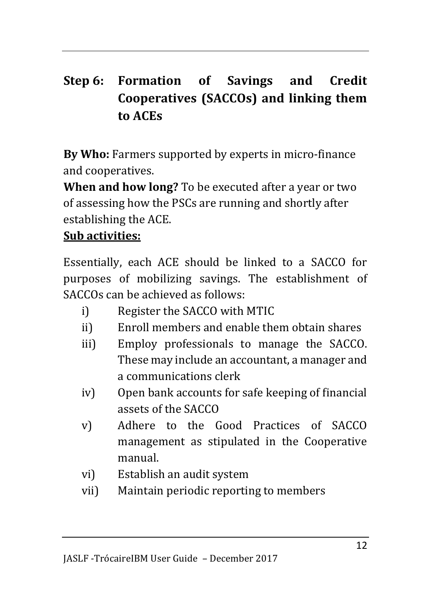### **Step 6: Formation of Savings and Credit Cooperatives (SACCOs) and linking them to ACEs**

**By Who:** Farmers supported by experts in micro-finance and cooperatives.

**When and how long?** To be executed after a year or two of assessing how the PSCs are running and shortly after establishing the ACE.

### **Sub activities:**

Essentially, each ACE should be linked to a SACCO for purposes of mobilizing savings. The establishment of SACCOs can be achieved as follows:

- i) Register the SACCO with MTIC
- ii) Enroll members and enable them obtain shares
- iii) Employ professionals to manage the SACCO. These may include an accountant, a manager and a communications clerk
- iv) Open bank accounts for safe keeping of financial assets of the SACCO
- v) Adhere to the Good Practices of SACCO management as stipulated in the Cooperative manual.
- vi) Establish an audit system
- vii) Maintain periodic reporting to members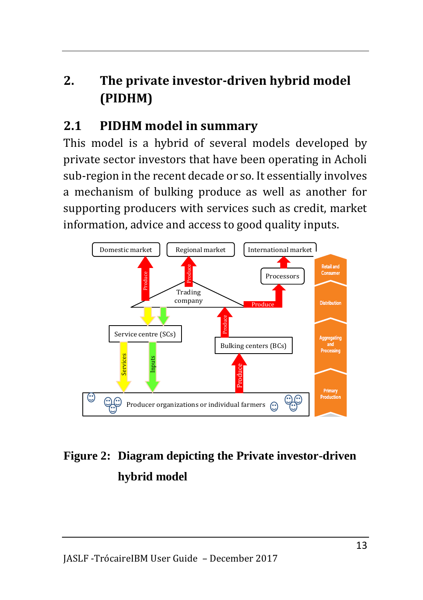### <span id="page-17-0"></span>**2. The private investor-driven hybrid model (PIDHM)**

### <span id="page-17-1"></span>**2.1 PIDHM model in summary**

This model is a hybrid of several models developed by private sector investors that have been operating in Acholi sub-region in the recent decade or so. It essentially involves a mechanism of bulking produce as well as another for supporting producers with services such as credit, market information, advice and access to good quality inputs.



# <span id="page-17-2"></span>**Figure 2: Diagram depicting the Private investor-driven hybrid model**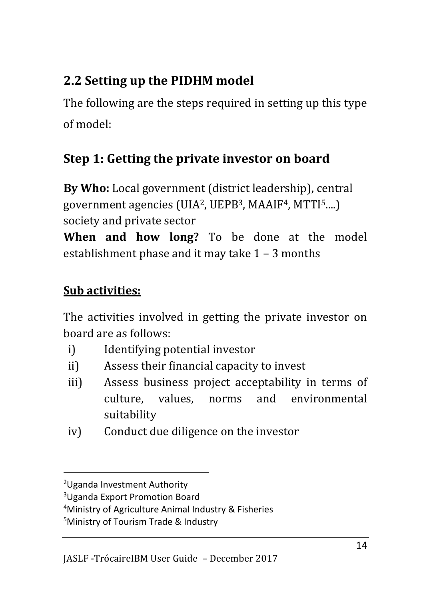### <span id="page-18-0"></span>**2.2 Setting up the PIDHM model**

The following are the steps required in setting up this type of model:

### **Step 1: Getting the private investor on board**

**By Who:** Local government (district leadership), central government agencies (UIA2, UEPB3, MAAIF4, MTTI5....) society and private sector

**When and how long?** To be done at the model establishment phase and it may take 1 – 3 months

### **Sub activities:**

The activities involved in getting the private investor on board are as follows:

- i) Identifying potential investor
- ii) Assess their financial capacity to invest
- iii) Assess business project acceptability in terms of culture, values, norms and environmental suitability
- iv) Conduct due diligence on the investor

1

<sup>3</sup>Uganda Export Promotion Board

<sup>4</sup>Ministry of Agriculture Animal Industry & Fisheries

5Ministry of Tourism Trade & Industry

<sup>2</sup>Uganda Investment Authority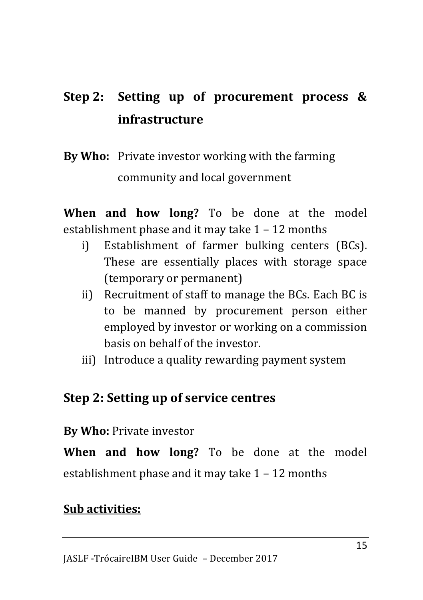# **Step 2: Setting up of procurement process & infrastructure**

**By Who:** Private investor working with the farming community and local government

**When and how long?** To be done at the model establishment phase and it may take 1 – 12 months

- i) Establishment of farmer bulking centers (BCs). These are essentially places with storage space (temporary or permanent)
- ii) Recruitment of staff to manage the BCs. Each BC is to be manned by procurement person either employed by investor or working on a commission basis on behalf of the investor.
- iii) Introduce a quality rewarding payment system

#### **Step 2: Setting up of service centres**

#### **By Who:** Private investor

**When and how long?** To be done at the model establishment phase and it may take 1 – 12 months

#### **Sub activities:**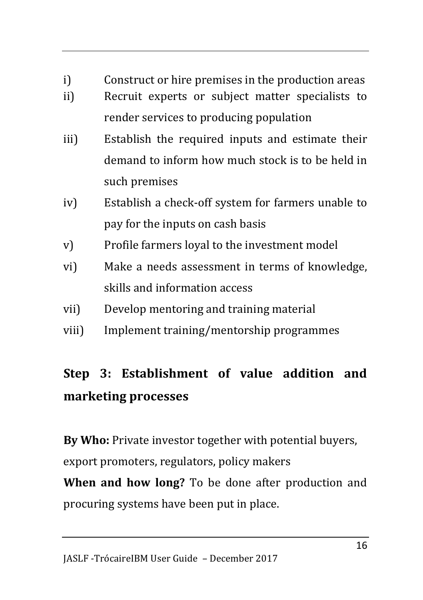- i) Construct or hire premises in the production areas
- ii) Recruit experts or subject matter specialists to render services to producing population
- iii) Establish the required inputs and estimate their demand to inform how much stock is to be held in such premises
- iv) Establish a check-off system for farmers unable to pay for the inputs on cash basis
- v) Profile farmers loyal to the investment model
- vi) Make a needs assessment in terms of knowledge, skills and information access
- vii) Develop mentoring and training material
- viii) Implement training/mentorship programmes

# **Step 3: Establishment of value addition and marketing processes**

**By Who:** Private investor together with potential buyers, export promoters, regulators, policy makers

**When and how long?** To be done after production and procuring systems have been put in place.